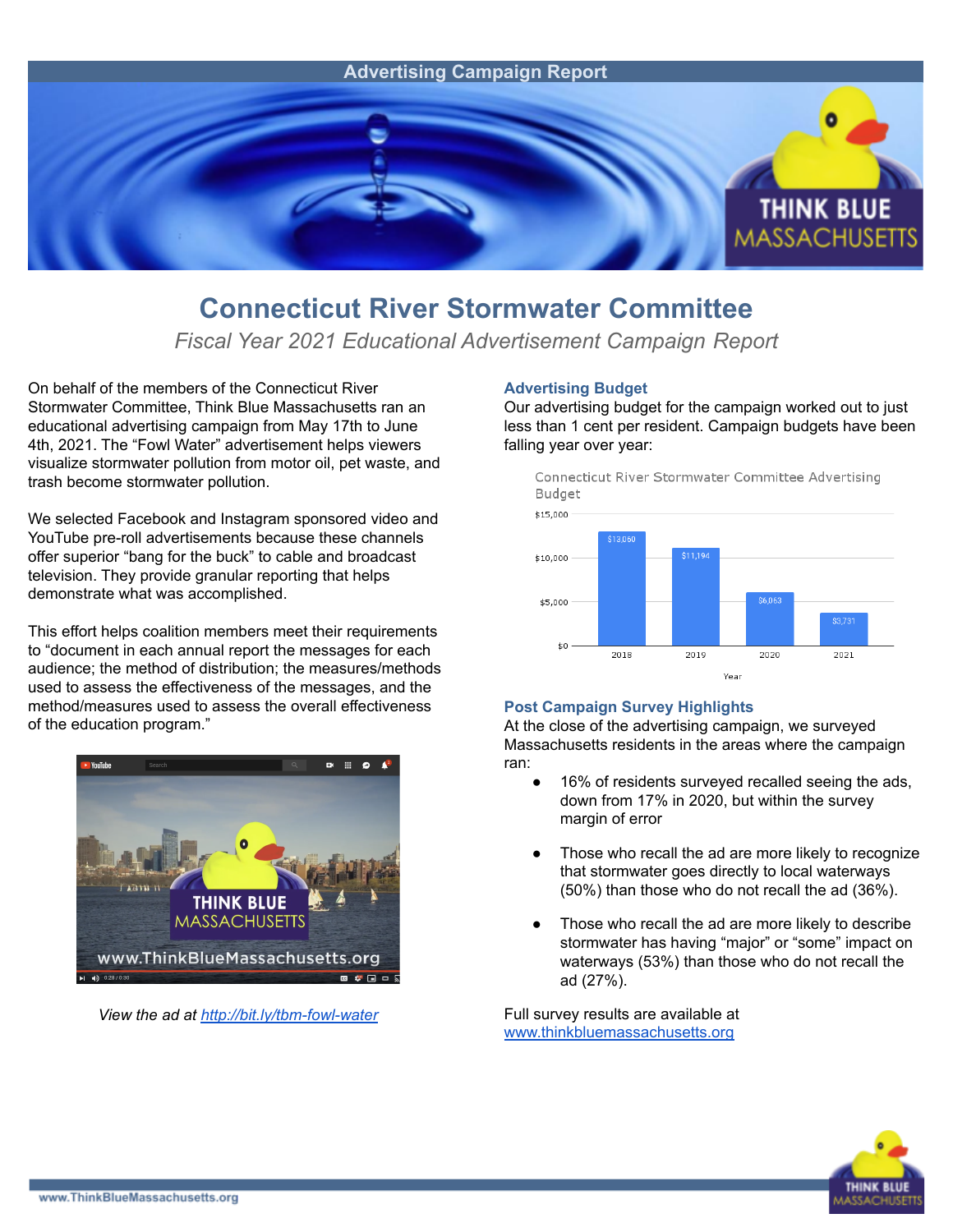

## **Connecticut River Stormwater Committee**

*Fiscal Year 2021 Educational Advertisement Campaign Report*

On behalf of the members of the Connecticut River Stormwater Committee, Think Blue Massachusetts ran an educational advertising campaign from May 17th to June 4th, 2021. The "Fowl Water" advertisement helps viewers visualize stormwater pollution from motor oil, pet waste, and trash become stormwater pollution.

We selected Facebook and Instagram sponsored video and YouTube pre-roll advertisements because these channels offer superior "bang for the buck" to cable and broadcast television. They provide granular reporting that helps demonstrate what was accomplished.

This effort helps coalition members meet their requirements to "document in each annual report the messages for each audience; the method of distribution; the measures/methods used to assess the effectiveness of the messages, and the method/measures used to assess the overall effectiveness of the education program."



*View the ad at <http://bit.ly/tbm-fowl-water>*

## **Advertising Budget**

Our advertising budget for the campaign worked out to just less than 1 cent per resident. Campaign budgets have been falling year over year:

Connecticut River Stormwater Committee Advertising Budget



## **Post Campaign Survey Highlights**

At the close of the advertising campaign, we surveyed Massachusetts residents in the areas where the campaign ran:

- 16% of residents surveyed recalled seeing the ads, down from 17% in 2020, but within the survey margin of error
- Those who recall the ad are more likely to recognize that stormwater goes directly to local waterways (50%) than those who do not recall the ad (36%).
- Those who recall the ad are more likely to describe stormwater has having "major" or "some" impact on waterways (53%) than those who do not recall the ad (27%).

Full survey results are available at [www.thinkbluemassachusetts.org](http://www.thinkbluemassachusetts.org)